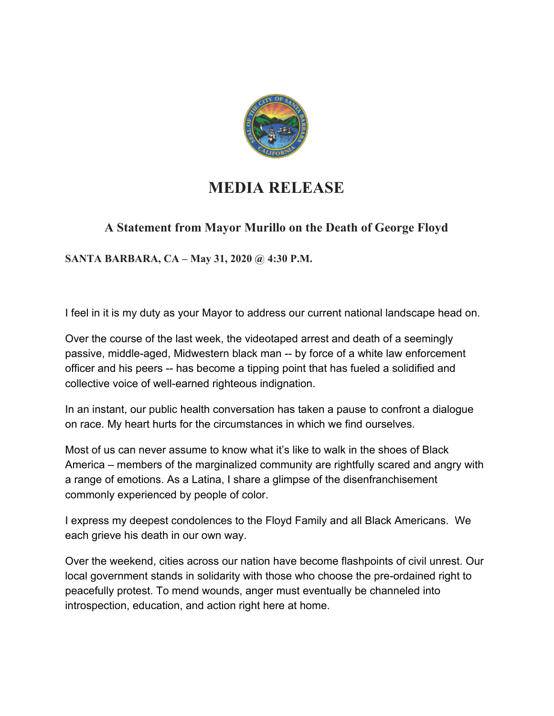

## **MEDIA RELEASE**

## **A Statement from Mayor Murillo on the Death of George Floyd**

**SANTA BARBARA, CA – May 31, 2020 @ 4:30 P.M.**

I feel in it is my duty as your Mayor to address our current national landscape head on.

Over the course of the last week, the videotaped arrest and death of a seemingly passive, middle-aged, Midwestern black man -- by force of a white law enforcement officer and his peers -- has become a tipping point that has fueled a solidified and collective voice of well-earned righteous indignation.

In an instant, our public health conversation has taken a pause to confront a dialogue on race. My heart hurts for the circumstances in which we find ourselves.

Most of us can never assume to know what it's like to walk in the shoes of Black America – members of the marginalized community are rightfully scared and angry with a range of emotions. As a Latina, I share a glimpse of the disenfranchisement commonly experienced by people of color.

I express my deepest condolences to the Floyd Family and all Black Americans. We each grieve his death in our own way.

Over the weekend, cities across our nation have become flashpoints of civil unrest. Our local government stands in solidarity with those who choose the pre-ordained right to peacefully protest. To mend wounds, anger must eventually be channeled into introspection, education, and action right here at home.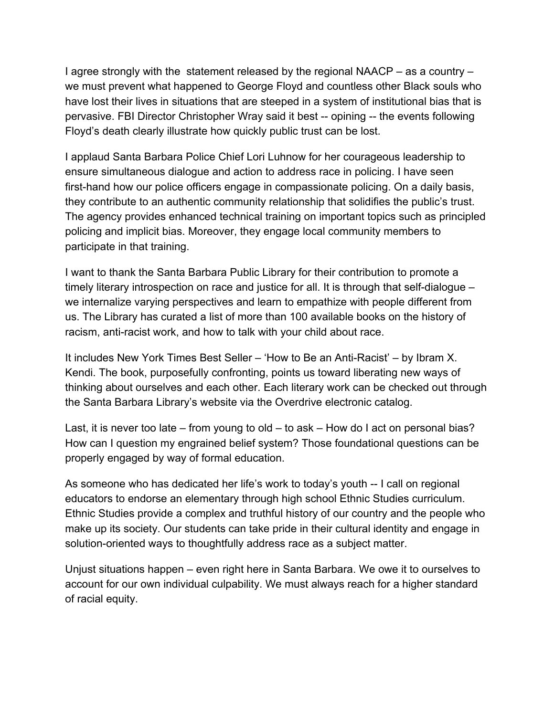I agree strongly with the statement released by the regional NAACP – as a country – we must prevent what happened to George Floyd and countless other Black souls who have lost their lives in situations that are steeped in a system of institutional bias that is pervasive. FBI Director Christopher Wray said it best -- opining -- the events following Floyd's death clearly illustrate how quickly public trust can be lost.

I applaud Santa Barbara Police Chief Lori Luhnow for her courageous leadership to ensure simultaneous dialogue and action to address race in policing. I have seen first-hand how our police officers engage in compassionate policing. On a daily basis, they contribute to an authentic community relationship that solidifies the public's trust. The agency provides enhanced technical training on important topics such as principled policing and implicit bias. Moreover, they engage local community members to participate in that training.

I want to thank the Santa Barbara Public Library for their contribution to promote a timely literary introspection on race and justice for all. It is through that self-dialogue – we internalize varying perspectives and learn to empathize with people different from us. The Library has curated a list of more than 100 available books on the history of racism, anti-racist work, and how to talk with your child about race.

It includes New York Times Best Seller – 'How to Be an Anti-Racist' – by Ibram X. Kendi. The book, purposefully confronting, points us toward liberating new ways of thinking about ourselves and each other. Each literary work can be checked out through the Santa Barbara Library's website via the Overdrive electronic catalog.

Last, it is never too late – from young to old – to ask – How do I act on personal bias? How can I question my engrained belief system? Those foundational questions can be properly engaged by way of formal education.

As someone who has dedicated her life's work to today's youth -- I call on regional educators to endorse an elementary through high school Ethnic Studies curriculum. Ethnic Studies provide a complex and truthful history of our country and the people who make up its society. Our students can take pride in their cultural identity and engage in solution-oriented ways to thoughtfully address race as a subject matter.

Unjust situations happen – even right here in Santa Barbara. We owe it to ourselves to account for our own individual culpability. We must always reach for a higher standard of racial equity.